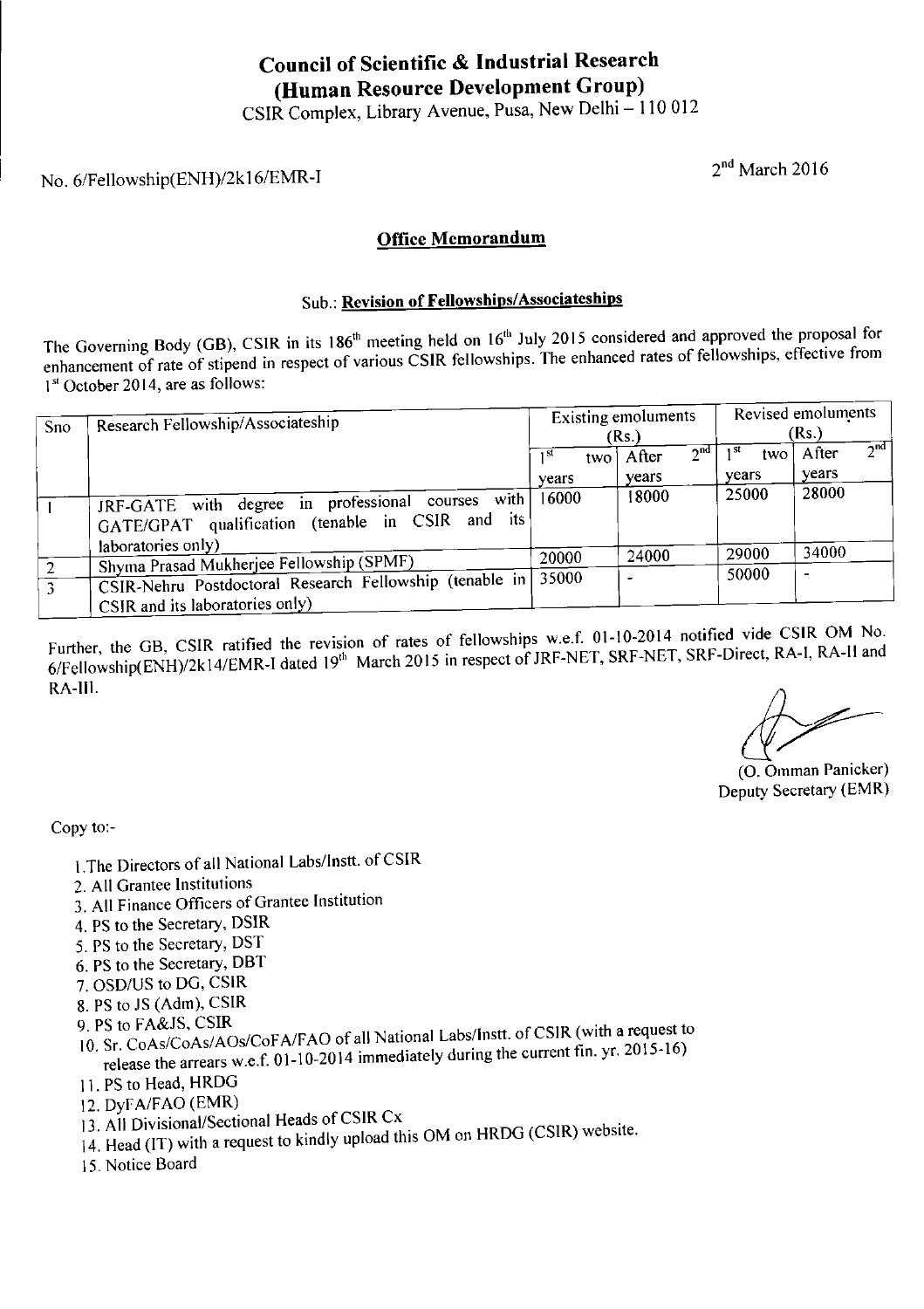### Council of Scientific & Industrial Research (Human Resource Development Group)

#### Office Memorandum

### Sub.: Revision of Fellowships/Associateships

The Governing Body (GB), CSIR in its 186<sup>th</sup> meeting held on  $16<sup>th</sup>$  July 2015 considered and approved the proposal for enhancement of rate of stipend in respect of various CSIR fellowships. The enhanced rates of fellowships, effective from **Council of Scientific &<br>
(Human Resource D**<br>
CSIR Complex, Library Aver<br>
No. 6/Fellowship(ENH)/2k16/EMR-I<br> **Office Men**<br>
Sub.: **Revision of Fello**<br>
The Governing Body (GB), CSIR in its 186<sup>th</sup> meeting held<br>
enhancement o 1<sup>st</sup> October 2014, are as follows: Then  $G \rightarrow G$ <br>
, New Delhi – 110 012<br>
<br>
<u>m</u><br>
ssociateships<br>
<br>
ly 2015 considered and a<br>
<br>
Existing emoluments<br>
(Rs.)

|                                                                                                                                                                                                                                                                                                                         | Council of Scientific & Industrial Research                                                           |                                     |                                   |                                 |                                       |  |  |  |  |  |
|-------------------------------------------------------------------------------------------------------------------------------------------------------------------------------------------------------------------------------------------------------------------------------------------------------------------------|-------------------------------------------------------------------------------------------------------|-------------------------------------|-----------------------------------|---------------------------------|---------------------------------------|--|--|--|--|--|
|                                                                                                                                                                                                                                                                                                                         | (Human Resource Development Group)                                                                    |                                     |                                   |                                 |                                       |  |  |  |  |  |
| CSIR Complex, Library Avenue, Pusa, New Delhi - 110 012                                                                                                                                                                                                                                                                 |                                                                                                       |                                     |                                   |                                 |                                       |  |  |  |  |  |
| No. 6/Fellowship(ENH)/2k16/EMR-I                                                                                                                                                                                                                                                                                        |                                                                                                       |                                     | $2nd$ March 2016                  |                                 |                                       |  |  |  |  |  |
| <b>Office Memorandum</b>                                                                                                                                                                                                                                                                                                |                                                                                                       |                                     |                                   |                                 |                                       |  |  |  |  |  |
| Sub.: Revision of Fellowships/Associateships                                                                                                                                                                                                                                                                            |                                                                                                       |                                     |                                   |                                 |                                       |  |  |  |  |  |
| The Governing Body (GB), CSIR in its 186 <sup>th</sup> meeting held on 16 <sup>th</sup> July 2015 considered and approved the proposal for<br>enhancement of rate of stipend in respect of various CSIR fellowships. The enhanced rates of fellowships, effective from<br>1 <sup>st</sup> October 2014, are as follows: |                                                                                                       |                                     |                                   |                                 |                                       |  |  |  |  |  |
| Sno                                                                                                                                                                                                                                                                                                                     | Research Fellowship/Associateship                                                                     | <b>Existing emoluments</b><br>(Rs.) |                                   | Revised emoluments<br>(Rs.)     |                                       |  |  |  |  |  |
|                                                                                                                                                                                                                                                                                                                         |                                                                                                       | 1 <sup>st</sup><br>two              | 2 <sup>nd</sup><br>After<br>years | 1 <sup>st</sup><br>two<br>years | $\overline{2^{nd}}$<br>After<br>years |  |  |  |  |  |
| $\mathbf{I}$                                                                                                                                                                                                                                                                                                            | JRF-GATE with degree in professional courses with<br>GATE/GPAT qualification (tenable in CSIR and its | years<br>16000                      | 18000                             | 25000                           | 28000                                 |  |  |  |  |  |
|                                                                                                                                                                                                                                                                                                                         | laboratories only)<br>Shyma Prasad Mukherjee Fellowship (SPMF)                                        | 20000                               | 24000                             | 29000                           | 34000                                 |  |  |  |  |  |
| $\overline{c}$                                                                                                                                                                                                                                                                                                          |                                                                                                       |                                     |                                   | 50000                           |                                       |  |  |  |  |  |

Further, the GB, CSIR ratified the revision of rates of fellowships w.ef. 01-10-2014 notified vide CSIR OM No. 6/Fellowship(ENH)/2k 14/EMR-I dated 19" March 2015 in respect of JRF-NET, SRF-NET, SRF-Direct, RA-I, RA-H and RA-Il.

(O. Omman Panicker) Deputy Secretary (EMR)

Copy to:-

- 1.The Directors of all National Labs/Instt. of CSIR
- 2. All Grantee Institutions
- 3, All Finance Officers of Grantee Institution
- 4, PS to the Secretary, DSIR
- 5. PS to the Secretary, DST
- 6. PS to the Secretary, DBT
- 7. OSD/US to DG, CSIR
- 8. PS to JS (Adm), CSIR
- 9. PS to FA&JS, CSIR
- 10. Sr. CoAs/CoAs/AOs/CoFA/FAO of all National Labs/Instt. of CSIR (with a request to release the arrears w.e.f. 01-10-2014 immediately during the current fin. yr. 2015-16)
- 11. PS to Head, HRDG
- 12. DyFA/FAO (EMR)
- 13, All Divisional/Sectional Heads of CSIR Cx
- 14. Head (IT) with a request to kindly upload this OM on HRDG (CSIR) website.
- 15. Notice Board